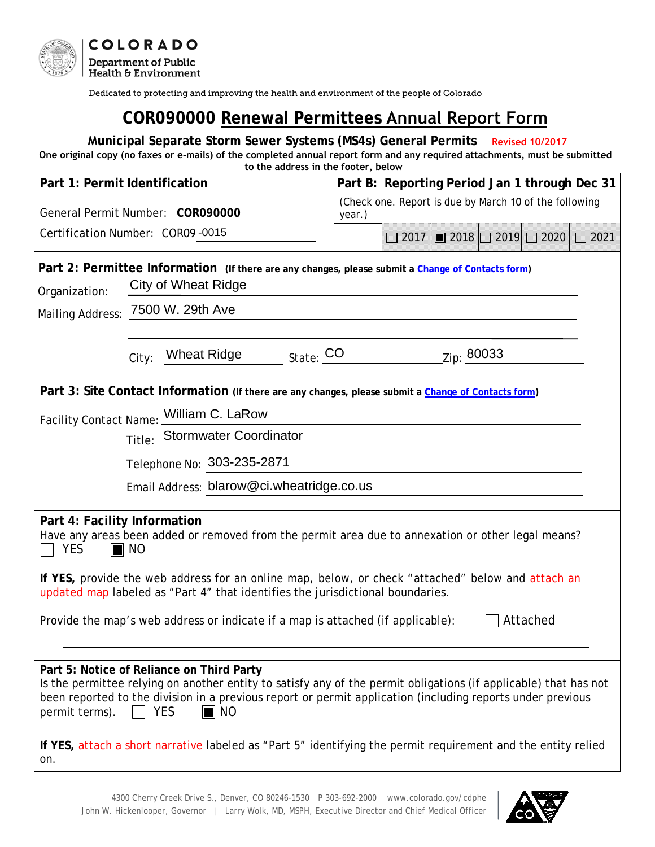

Dedicated to protecting and improving the health and environment of the people of Colorado

## **COR090000 Renewal Permittees Annual Report Form**

**Municipal Separate Storm Sewer Systems (MS4s) General Permits Revised 10/2017 One original copy (no faxes or e-mails) of the completed annual report form and any required attachments, must be submitted to the address in the footer, below**

| Part 1: Permit Identification                                                                                                                                                                                                                                                                                                    |                                              |  |        | Part B: Reporting Period Jan 1 through Dec 31          |  |                                                |      |  |  |
|----------------------------------------------------------------------------------------------------------------------------------------------------------------------------------------------------------------------------------------------------------------------------------------------------------------------------------|----------------------------------------------|--|--------|--------------------------------------------------------|--|------------------------------------------------|------|--|--|
| General Permit Number: COR090000                                                                                                                                                                                                                                                                                                 |                                              |  | year.) | (Check one. Report is due by March 10 of the following |  |                                                |      |  |  |
| Certification Number: COR09-0015                                                                                                                                                                                                                                                                                                 |                                              |  |        |                                                        |  | $\Box$ 2017   2018   $\Box$ 2019   $\Box$ 2020 | 2021 |  |  |
| Part 2: Permittee Information (If there are any changes, please submit a Change of Contacts form)<br><b>City of Wheat Ridge</b><br>Organization:                                                                                                                                                                                 |                                              |  |        |                                                        |  |                                                |      |  |  |
| Mailing Address: 7500 W. 29th Ave                                                                                                                                                                                                                                                                                                |                                              |  |        |                                                        |  |                                                |      |  |  |
|                                                                                                                                                                                                                                                                                                                                  | Wheat Ridge State: CO<br>Zip: 80033<br>City: |  |        |                                                        |  |                                                |      |  |  |
| Part 3: Site Contact Information (If there are any changes, please submit a Change of Contacts form)                                                                                                                                                                                                                             |                                              |  |        |                                                        |  |                                                |      |  |  |
| Facility Contact Name: William C. LaRow                                                                                                                                                                                                                                                                                          |                                              |  |        |                                                        |  |                                                |      |  |  |
|                                                                                                                                                                                                                                                                                                                                  |                                              |  |        | Title: Stormwater Coordinator                          |  |                                                |      |  |  |
| Telephone No: 303-235-2871                                                                                                                                                                                                                                                                                                       |                                              |  |        |                                                        |  |                                                |      |  |  |
| Email Address: blarow@ci.wheatridge.co.us                                                                                                                                                                                                                                                                                        |                                              |  |        |                                                        |  |                                                |      |  |  |
|                                                                                                                                                                                                                                                                                                                                  |                                              |  |        |                                                        |  |                                                |      |  |  |
| Part 4: Facility Information<br>Have any areas been added or removed from the permit area due to annexation or other legal means?<br><b>YES</b><br>$\blacksquare$ NO                                                                                                                                                             |                                              |  |        |                                                        |  |                                                |      |  |  |
| If YES, provide the web address for an online map, below, or check "attached" below and attach an<br>updated map labeled as "Part 4" that identifies the jurisdictional boundaries.                                                                                                                                              |                                              |  |        |                                                        |  |                                                |      |  |  |
| Attached<br>Provide the map's web address or indicate if a map is attached (if applicable):                                                                                                                                                                                                                                      |                                              |  |        |                                                        |  |                                                |      |  |  |
|                                                                                                                                                                                                                                                                                                                                  |                                              |  |        |                                                        |  |                                                |      |  |  |
| Part 5: Notice of Reliance on Third Party<br>Is the permittee relying on another entity to satisfy any of the permit obligations (if applicable) that has not<br>been reported to the division in a previous report or permit application (including reports under previous<br>permit terms).<br><b>YES</b><br>$\blacksquare$ NO |                                              |  |        |                                                        |  |                                                |      |  |  |
| If YES, attach a short narrative labeled as "Part 5" identifying the permit requirement and the entity relied<br>on.                                                                                                                                                                                                             |                                              |  |        |                                                        |  |                                                |      |  |  |

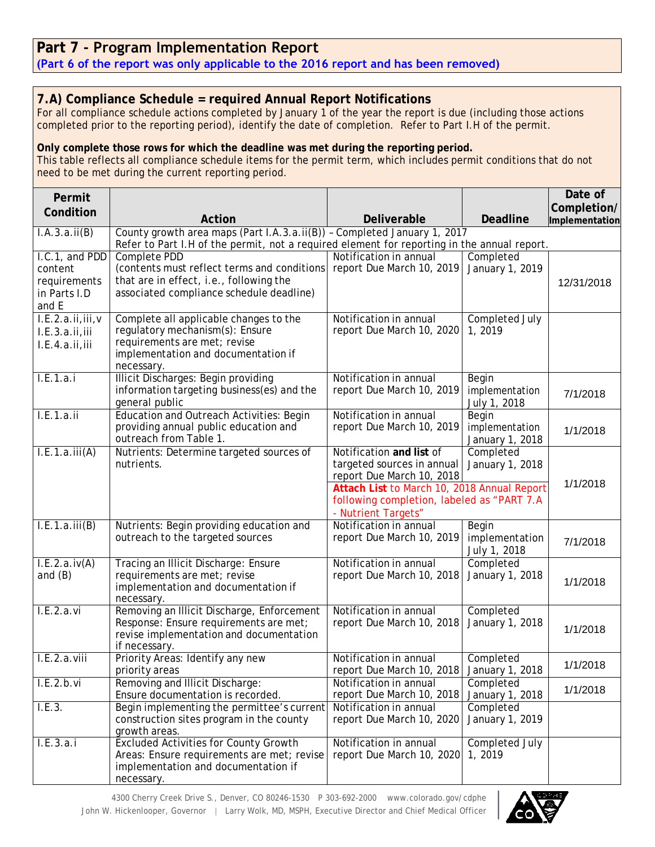## **Part 7 - Program Implementation Report**

**(Part 6 of the report was only applicable to the 2016 report and has been removed)**

## **7.A) Compliance Schedule = required Annual Report Notifications**

For all compliance schedule actions completed by January 1 of the year the report is due (including those actions completed prior to the reporting period), identify the date of completion. Refer to Part I.H of the permit.

## **Only complete those rows for which the deadline was met during the reporting period.**

This table reflects all compliance schedule items for the permit term, which includes permit conditions that do not need to be met during the current reporting period.

| Permit                                                             |                                                                                                                                                    |                                                                                                                  |                                            | Date of                       |
|--------------------------------------------------------------------|----------------------------------------------------------------------------------------------------------------------------------------------------|------------------------------------------------------------------------------------------------------------------|--------------------------------------------|-------------------------------|
| Condition                                                          | Action                                                                                                                                             | Deliverable                                                                                                      | <b>Deadline</b>                            | Completion/<br>Implementation |
| I.A.3.a.ii(B)                                                      | County growth area maps (Part I.A.3.a.ii(B)) - Completed January 1, 2017                                                                           |                                                                                                                  |                                            |                               |
|                                                                    | Refer to Part I.H of the permit, not a required element for reporting in the annual report.                                                        |                                                                                                                  |                                            |                               |
| I.C.1, and PDD<br>content<br>requirements<br>in Parts I.D<br>and E | Complete PDD<br>(contents must reflect terms and conditions<br>that are in effect, i.e., following the<br>associated compliance schedule deadline) | Notification in annual<br>report Due March 10, 2019                                                              | Completed<br>January 1, 2019               | 12/31/2018                    |
| I.E.2.a.ii,iii,v                                                   | Complete all applicable changes to the                                                                                                             | Notification in annual                                                                                           | Completed July                             |                               |
| I.E.3.a.ii,iii<br>I.E.4.a.ii,iii                                   | regulatory mechanism(s): Ensure<br>requirements are met; revise<br>implementation and documentation if<br>necessary.                               | report Due March 10, 2020                                                                                        | 1,2019                                     |                               |
| I.E.1.a.i                                                          | <b>Illicit Discharges: Begin providing</b>                                                                                                         | Notification in annual                                                                                           | Begin                                      |                               |
|                                                                    | information targeting business(es) and the<br>general public                                                                                       | report Due March 10, 2019                                                                                        | implementation<br>July 1, 2018             | 7/1/2018                      |
| I.E.1.a.ii                                                         | Education and Outreach Activities: Begin<br>providing annual public education and<br>outreach from Table 1.                                        | Notification in annual<br>report Due March 10, 2019                                                              | Begin<br>implementation<br>January 1, 2018 | 1/1/2018                      |
| I.E.1.a.iii(A)                                                     | Nutrients: Determine targeted sources of<br>nutrients.                                                                                             | Notification and list of<br>targeted sources in annual<br>report Due March 10, 2018                              | Completed<br>January 1, 2018               | 1/1/2018                      |
|                                                                    |                                                                                                                                                    | Attach List to March 10, 2018 Annual Report<br>following completion, labeled as "PART 7.A<br>- Nutrient Targets" |                                            |                               |
| I.E.1.a.iii(B)                                                     | Nutrients: Begin providing education and<br>outreach to the targeted sources                                                                       | Notification in annual<br>report Due March 10, 2019                                                              | Begin<br>implementation<br>July 1, 2018    | 7/1/2018                      |
| I.E.2.a.iv(A)<br>and $(B)$                                         | Tracing an Illicit Discharge: Ensure<br>requirements are met; revise<br>implementation and documentation if<br>necessary.                          | Notification in annual<br>report Due March 10, 2018                                                              | Completed<br>January 1, 2018               | 1/1/2018                      |
| L.E.2.a.vi                                                         | Removing an Illicit Discharge, Enforcement<br>Response: Ensure requirements are met;<br>revise implementation and documentation<br>if necessary.   | Notification in annual<br>report Due March 10, 2018                                                              | Completed<br>January 1, 2018               | 1/1/2018                      |
| L.E.2.a.viii                                                       | Priority Areas: Identify any new<br>priority areas                                                                                                 | Notification in annual<br>report Due March 10, 2018                                                              | Completed<br>January 1, 2018               | 1/1/2018                      |
| I.E.2.b.vi                                                         | Removing and Illicit Discharge:<br>Ensure documentation is recorded.                                                                               | Notification in annual<br>report Due March 10, 2018                                                              | Completed<br>January 1, 2018               | 1/1/2018                      |
| I.E.3.                                                             | Begin implementing the permittee's current<br>construction sites program in the county<br>growth areas.                                            | Notification in annual<br>report Due March 10, 2020                                                              | Completed<br>January 1, 2019               |                               |
| I.E.3.a.i                                                          | <b>Excluded Activities for County Growth</b><br>Areas: Ensure requirements are met; revise<br>implementation and documentation if<br>necessary.    | Notification in annual<br>report Due March 10, 2020                                                              | Completed July<br>1, 2019                  |                               |

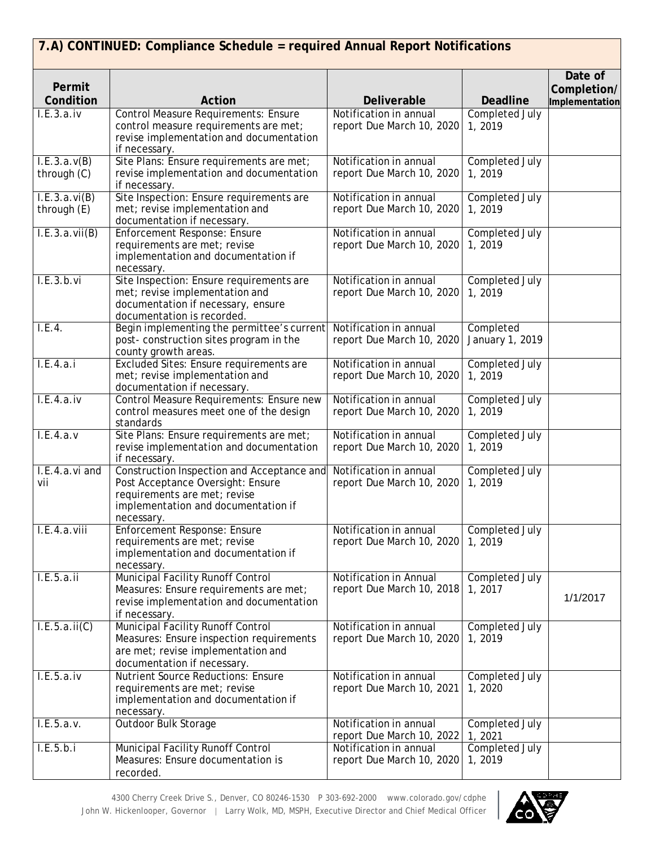|                              | 7.A) CONTINUED: Compliance Schedule = required Annual Report Notifications                                                                                           |                                                     |                                 |                                          |
|------------------------------|----------------------------------------------------------------------------------------------------------------------------------------------------------------------|-----------------------------------------------------|---------------------------------|------------------------------------------|
| Permit<br>Condition          | Action                                                                                                                                                               | Deliverable                                         | <b>Deadline</b>                 | Date of<br>Completion/<br>Implementation |
| L.E.3.a.iv                   | <b>Control Measure Requirements: Ensure</b><br>control measure requirements are met;<br>revise implementation and documentation<br>if necessary.                     | Notification in annual<br>report Due March 10, 2020 | <b>Completed July</b><br>1,2019 |                                          |
| I.E.3.a.v(B)<br>through (C)  | Site Plans: Ensure requirements are met;<br>revise implementation and documentation<br>if necessary.                                                                 | Notification in annual<br>report Due March 10, 2020 | Completed July<br>1,2019        |                                          |
| I.E.3.a.vi(B)<br>through (E) | Site Inspection: Ensure requirements are<br>met; revise implementation and<br>documentation if necessary.                                                            | Notification in annual<br>report Due March 10, 2020 | Completed July<br>1,2019        |                                          |
| I.E.3.a.vii(B)               | Enforcement Response: Ensure<br>requirements are met; revise<br>implementation and documentation if<br>necessary.                                                    | Notification in annual<br>report Due March 10, 2020 | Completed July<br>1, 2019       |                                          |
| I.E.3.b.vi                   | Site Inspection: Ensure requirements are<br>met; revise implementation and<br>documentation if necessary, ensure<br>documentation is recorded.                       | Notification in annual<br>report Due March 10, 2020 | Completed July<br>1,2019        |                                          |
| I.E.4.                       | Begin implementing the permittee's current<br>post-construction sites program in the<br>county growth areas.                                                         | Notification in annual<br>report Due March 10, 2020 | Completed<br>January 1, 2019    |                                          |
| L.E.4.a.i                    | Excluded Sites: Ensure requirements are<br>met; revise implementation and<br>documentation if necessary.                                                             | Notification in annual<br>report Due March 10, 2020 | Completed July<br>1,2019        |                                          |
| L.E.4.a.iv                   | Control Measure Requirements: Ensure new<br>control measures meet one of the design<br>standards                                                                     | Notification in annual<br>report Due March 10, 2020 | Completed July<br>1, 2019       |                                          |
| L.E.4.a.v                    | Site Plans: Ensure requirements are met;<br>revise implementation and documentation<br>if necessary.                                                                 | Notification in annual<br>report Due March 10, 2020 | Completed July<br>1,2019        |                                          |
| I.E.4.a.vi and<br>vii        | Construction Inspection and Acceptance and<br>Post Acceptance Oversight: Ensure<br>requirements are met; revise<br>implementation and documentation if<br>necessary. | Notification in annual<br>report Due March 10, 2020 | Completed July<br>1, 2019       |                                          |
| $\overline{I.E}.4.a.viii$    | Enforcement Response: Ensure<br>requirements are met; revise<br>implementation and documentation if<br>necessary.                                                    | Notification in annual<br>report Due March 10, 2020 | Completed July<br>1,2019        |                                          |
| I.E.5.a.ii                   | Municipal Facility Runoff Control<br>Measures: Ensure requirements are met;<br>revise implementation and documentation<br>if necessary.                              | Notification in Annual<br>report Due March 10, 2018 | Completed July<br>1, 2017       | 1/1/2017                                 |
| I.E.5.a.ii(C)                | Municipal Facility Runoff Control<br>Measures: Ensure inspection requirements<br>are met; revise implementation and<br>documentation if necessary.                   | Notification in annual<br>report Due March 10, 2020 | Completed July<br>1,2019        |                                          |
| I.E.5.a.iv                   | <b>Nutrient Source Reductions: Ensure</b><br>requirements are met; revise<br>implementation and documentation if<br>necessary.                                       | Notification in annual<br>report Due March 10, 2021 | Completed July<br>1,2020        |                                          |
| I.E.5.a.v.                   | Outdoor Bulk Storage                                                                                                                                                 | Notification in annual<br>report Due March 10, 2022 | Completed July<br>1, 2021       |                                          |
| I.E.5.b.i                    | Municipal Facility Runoff Control<br>Measures: Ensure documentation is<br>recorded.                                                                                  | Notification in annual<br>report Due March 10, 2020 | Completed July<br>1, 2019       |                                          |

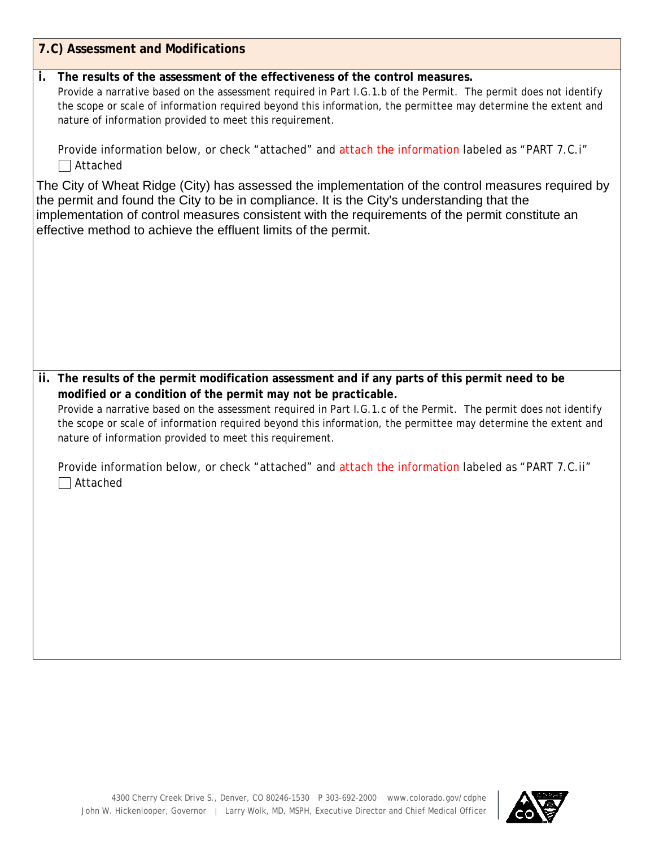| 7.C) Assessment and Modifications                                                                                                                                                                                                                                                                                                                                                               |
|-------------------------------------------------------------------------------------------------------------------------------------------------------------------------------------------------------------------------------------------------------------------------------------------------------------------------------------------------------------------------------------------------|
| $\mathbf{i}$ .<br>The results of the assessment of the effectiveness of the control measures.<br>Provide a narrative based on the assessment required in Part I.G.1.b of the Permit. The permit does not identify<br>the scope or scale of information required beyond this information, the permittee may determine the extent and<br>nature of information provided to meet this requirement. |
| Provide information below, or check "attached" and attach the information labeled as "PART 7.C.i"<br>$\Box$ Attached                                                                                                                                                                                                                                                                            |
| The City of Wheat Ridge (City) has assessed the implementation of the control measures required by<br>the permit and found the City to be in compliance. It is the City's understanding that the<br>implementation of control measures consistent with the requirements of the permit constitute an<br>effective method to achieve the effluent limits of the permit.                           |
|                                                                                                                                                                                                                                                                                                                                                                                                 |
|                                                                                                                                                                                                                                                                                                                                                                                                 |
| ii. The results of the permit modification assessment and if any parts of this permit need to be<br>modified or a condition of the permit may not be practicable.                                                                                                                                                                                                                               |
| Provide a narrative based on the assessment required in Part I.G.1.c of the Permit. The permit does not identify<br>the scope or scale of information required beyond this information, the permittee may determine the extent and<br>nature of information provided to meet this requirement.                                                                                                  |
| Provide information below, or check "attached" and attach the information labeled as "PART 7.C.ii"<br>Attached                                                                                                                                                                                                                                                                                  |
|                                                                                                                                                                                                                                                                                                                                                                                                 |
|                                                                                                                                                                                                                                                                                                                                                                                                 |
|                                                                                                                                                                                                                                                                                                                                                                                                 |
|                                                                                                                                                                                                                                                                                                                                                                                                 |

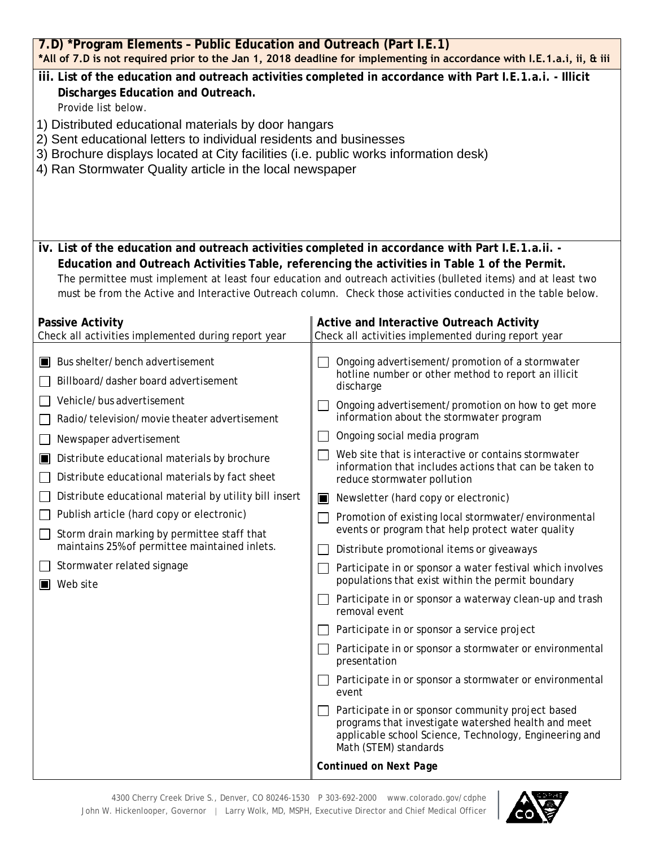| 7.D) *Program Elements - Public Education and Outreach (Part I.E.1)<br>*All of 7.D is not required prior to the Jan 1, 2018 deadline for implementing in accordance with I.E.1.a.i, ii, & iii                                                                                                                                                                                                                                                                                                                                                   |                                                                                                                                                                                                                                                                                                                                                                                                                                                                                                                                                                                                                                                                                                                                                                                                                                                                                                                                                                                                                                                                                                                                                                                                      |  |  |  |
|-------------------------------------------------------------------------------------------------------------------------------------------------------------------------------------------------------------------------------------------------------------------------------------------------------------------------------------------------------------------------------------------------------------------------------------------------------------------------------------------------------------------------------------------------|------------------------------------------------------------------------------------------------------------------------------------------------------------------------------------------------------------------------------------------------------------------------------------------------------------------------------------------------------------------------------------------------------------------------------------------------------------------------------------------------------------------------------------------------------------------------------------------------------------------------------------------------------------------------------------------------------------------------------------------------------------------------------------------------------------------------------------------------------------------------------------------------------------------------------------------------------------------------------------------------------------------------------------------------------------------------------------------------------------------------------------------------------------------------------------------------------|--|--|--|
| iii. List of the education and outreach activities completed in accordance with Part I.E.1.a.i. - Illicit<br>Discharges Education and Outreach.<br>Provide list below.<br>1) Distributed educational materials by door hangars<br>2) Sent educational letters to individual residents and businesses<br>3) Brochure displays located at City facilities (i.e. public works information desk)<br>4) Ran Stormwater Quality article in the local newspaper                                                                                        |                                                                                                                                                                                                                                                                                                                                                                                                                                                                                                                                                                                                                                                                                                                                                                                                                                                                                                                                                                                                                                                                                                                                                                                                      |  |  |  |
| iv. List of the education and outreach activities completed in accordance with Part I.E.1.a.ii. -                                                                                                                                                                                                                                                                                                                                                                                                                                               | Education and Outreach Activities Table, referencing the activities in Table 1 of the Permit.<br>The permittee must implement at least four education and outreach activities (bulleted items) and at least two<br>must be from the Active and Interactive Outreach column. Check those activities conducted in the table below.                                                                                                                                                                                                                                                                                                                                                                                                                                                                                                                                                                                                                                                                                                                                                                                                                                                                     |  |  |  |
| <b>Passive Activity</b><br>Check all activities implemented during report year                                                                                                                                                                                                                                                                                                                                                                                                                                                                  | Active and Interactive Outreach Activity<br>Check all activities implemented during report year                                                                                                                                                                                                                                                                                                                                                                                                                                                                                                                                                                                                                                                                                                                                                                                                                                                                                                                                                                                                                                                                                                      |  |  |  |
| Bus shelter/bench advertisement<br>Billboard/dasher board advertisement<br>Vehicle/bus advertisement<br>Radio/television/movie theater advertisement<br>Newspaper advertisement<br>Distribute educational materials by brochure<br>IЦ<br>Distribute educational materials by fact sheet<br>Distribute educational material by utility bill insert<br>$\Box$ Publish article (hard copy or electronic)<br>Storm drain marking by permittee staff that<br>maintains 25% of permittee maintained inlets.<br>Stormwater related signage<br>Web site | Ongoing advertisement/promotion of a stormwater<br>hotline number or other method to report an illicit<br>discharge<br>Ongoing advertisement/promotion on how to get more<br>information about the stormwater program<br>Ongoing social media program<br>Web site that is interactive or contains stormwater<br>information that includes actions that can be taken to<br>reduce stormwater pollution<br>Newsletter (hard copy or electronic)<br>□ Promotion of existing local stormwater/environmental<br>events or program that help protect water quality<br>Distribute promotional items or giveaways<br>Participate in or sponsor a water festival which involves<br>populations that exist within the permit boundary<br>Participate in or sponsor a waterway clean-up and trash<br>removal event<br>Participate in or sponsor a service project<br>Participate in or sponsor a stormwater or environmental<br>presentation<br>Participate in or sponsor a stormwater or environmental<br>event<br>Participate in or sponsor community project based<br>programs that investigate watershed health and meet<br>applicable school Science, Technology, Engineering and<br>Math (STEM) standards |  |  |  |
|                                                                                                                                                                                                                                                                                                                                                                                                                                                                                                                                                 | <b>Continued on Next Page</b>                                                                                                                                                                                                                                                                                                                                                                                                                                                                                                                                                                                                                                                                                                                                                                                                                                                                                                                                                                                                                                                                                                                                                                        |  |  |  |

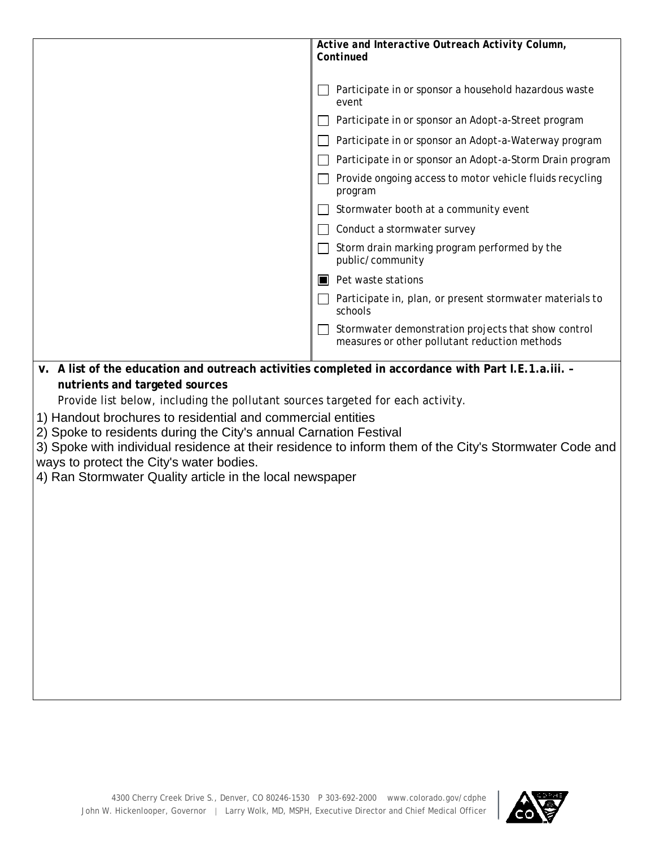|                                                                                                                                                                                                                                                                                                                                                                                                                                                                      | Active and Interactive Outreach Activity Column,<br>Continued                                          |
|----------------------------------------------------------------------------------------------------------------------------------------------------------------------------------------------------------------------------------------------------------------------------------------------------------------------------------------------------------------------------------------------------------------------------------------------------------------------|--------------------------------------------------------------------------------------------------------|
|                                                                                                                                                                                                                                                                                                                                                                                                                                                                      | Participate in or sponsor a household hazardous waste<br>event                                         |
|                                                                                                                                                                                                                                                                                                                                                                                                                                                                      | Participate in or sponsor an Adopt-a-Street program                                                    |
|                                                                                                                                                                                                                                                                                                                                                                                                                                                                      | Participate in or sponsor an Adopt-a-Waterway program                                                  |
|                                                                                                                                                                                                                                                                                                                                                                                                                                                                      | Participate in or sponsor an Adopt-a-Storm Drain program                                               |
|                                                                                                                                                                                                                                                                                                                                                                                                                                                                      | Provide ongoing access to motor vehicle fluids recycling<br>program                                    |
|                                                                                                                                                                                                                                                                                                                                                                                                                                                                      | Stormwater booth at a community event                                                                  |
|                                                                                                                                                                                                                                                                                                                                                                                                                                                                      | Conduct a stormwater survey                                                                            |
|                                                                                                                                                                                                                                                                                                                                                                                                                                                                      | Storm drain marking program performed by the<br>public/community                                       |
|                                                                                                                                                                                                                                                                                                                                                                                                                                                                      | $\blacksquare$ Pet waste stations                                                                      |
|                                                                                                                                                                                                                                                                                                                                                                                                                                                                      | Participate in, plan, or present stormwater materials to<br>schools                                    |
|                                                                                                                                                                                                                                                                                                                                                                                                                                                                      | Stormwater demonstration projects that show control<br>measures or other pollutant reduction methods   |
| v. A list of the education and outreach activities completed in accordance with Part I.E.1.a.iii. -<br>nutrients and targeted sources<br>Provide list below, including the pollutant sources targeted for each activity.<br>1) Handout brochures to residential and commercial entities<br>2) Spoke to residents during the City's annual Carnation Festival<br>ways to protect the City's water bodies.<br>4) Ran Stormwater Quality article in the local newspaper | 3) Spoke with individual residence at their residence to inform them of the City's Stormwater Code and |

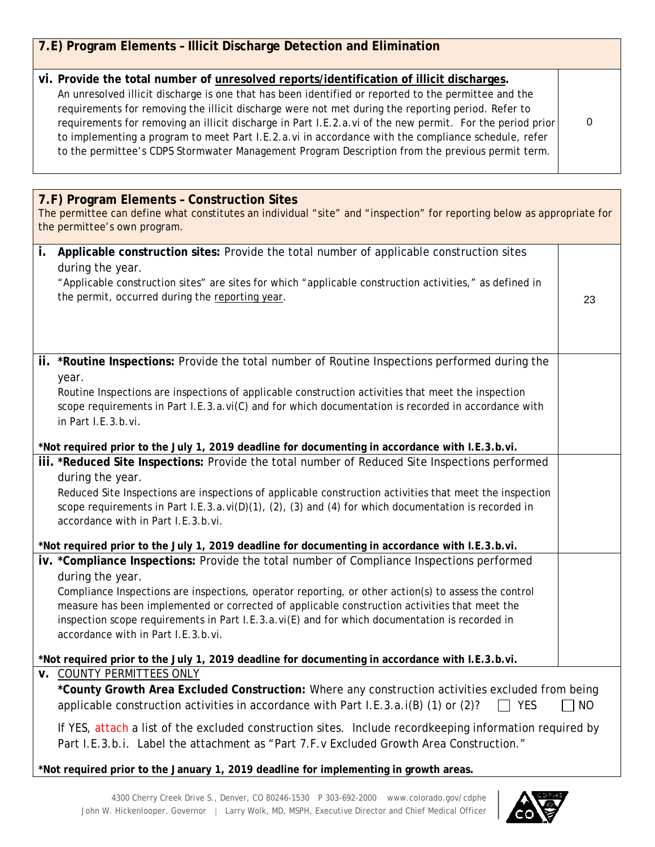| 7.E) Program Elements - Illicit Discharge Detection and Elimination                                                                                                                                                                                                                                                                                                                                                                                                                                                                                                                                                            |      |
|--------------------------------------------------------------------------------------------------------------------------------------------------------------------------------------------------------------------------------------------------------------------------------------------------------------------------------------------------------------------------------------------------------------------------------------------------------------------------------------------------------------------------------------------------------------------------------------------------------------------------------|------|
|                                                                                                                                                                                                                                                                                                                                                                                                                                                                                                                                                                                                                                |      |
| vi. Provide the total number of unresolved reports/identification of illicit discharges.<br>An unresolved illicit discharge is one that has been identified or reported to the permittee and the<br>requirements for removing the illicit discharge were not met during the reporting period. Refer to<br>requirements for removing an illicit discharge in Part I.E.2.a.vi of the new permit. For the period prior<br>to implementing a program to meet Part I.E.2.a.vi in accordance with the compliance schedule, refer<br>to the permittee's CDPS Stormwater Management Program Description from the previous permit term. | 0    |
|                                                                                                                                                                                                                                                                                                                                                                                                                                                                                                                                                                                                                                |      |
| 7.F) Program Elements - Construction Sites<br>The permittee can define what constitutes an individual "site" and "inspection" for reporting below as appropriate for<br>the permittee's own program.                                                                                                                                                                                                                                                                                                                                                                                                                           |      |
| Applicable construction sites: Provide the total number of applicable construction sites<br>i.<br>during the year.                                                                                                                                                                                                                                                                                                                                                                                                                                                                                                             |      |
| "Applicable construction sites" are sites for which "applicable construction activities," as defined in<br>the permit, occurred during the reporting year.                                                                                                                                                                                                                                                                                                                                                                                                                                                                     | 23   |
|                                                                                                                                                                                                                                                                                                                                                                                                                                                                                                                                                                                                                                |      |
| ii. *Routine Inspections: Provide the total number of Routine Inspections performed during the                                                                                                                                                                                                                                                                                                                                                                                                                                                                                                                                 |      |
| year.<br>Routine Inspections are inspections of applicable construction activities that meet the inspection<br>scope requirements in Part I.E.3.a.vi(C) and for which documentation is recorded in accordance with<br>in Part I.E.3.b.vi.                                                                                                                                                                                                                                                                                                                                                                                      |      |
| *Not required prior to the July 1, 2019 deadline for documenting in accordance with I.E.3.b.vi.                                                                                                                                                                                                                                                                                                                                                                                                                                                                                                                                |      |
| iii. *Reduced Site Inspections: Provide the total number of Reduced Site Inspections performed<br>during the year.<br>Reduced Site Inspections are inspections of applicable construction activities that meet the inspection<br>scope requirements in Part I.E.3.a.vi(D)(1), (2), (3) and (4) for which documentation is recorded in<br>accordance with in Part I.E.3.b.vi.                                                                                                                                                                                                                                                   |      |
| *Not required prior to the July 1, 2019 deadline for documenting in accordance with I.E.3.b.vi.                                                                                                                                                                                                                                                                                                                                                                                                                                                                                                                                |      |
| iv. *Compliance Inspections: Provide the total number of Compliance Inspections performed<br>during the year.<br>Compliance Inspections are inspections, operator reporting, or other action(s) to assess the control<br>measure has been implemented or corrected of applicable construction activities that meet the<br>inspection scope requirements in Part I.E.3.a.vi(E) and for which documentation is recorded in<br>accordance with in Part I.E.3.b.vi.                                                                                                                                                                |      |
| *Not required prior to the July 1, 2019 deadline for documenting in accordance with I.E.3.b.vi.                                                                                                                                                                                                                                                                                                                                                                                                                                                                                                                                |      |
| <b>v. COUNTY PERMITTEES ONLY</b><br>*County Growth Area Excluded Construction: Where any construction activities excluded from being<br>applicable construction activities in accordance with Part I.E.3.a.i(B) (1) or (2)?<br>ヿ YES                                                                                                                                                                                                                                                                                                                                                                                           | ] NO |
| If YES, attach a list of the excluded construction sites. Include recordkeeping information required by<br>Part I.E.3.b.i. Label the attachment as "Part 7.F.v Excluded Growth Area Construction."                                                                                                                                                                                                                                                                                                                                                                                                                             |      |

**\*Not required prior to the January 1, 2019 deadline for implementing in growth areas.**